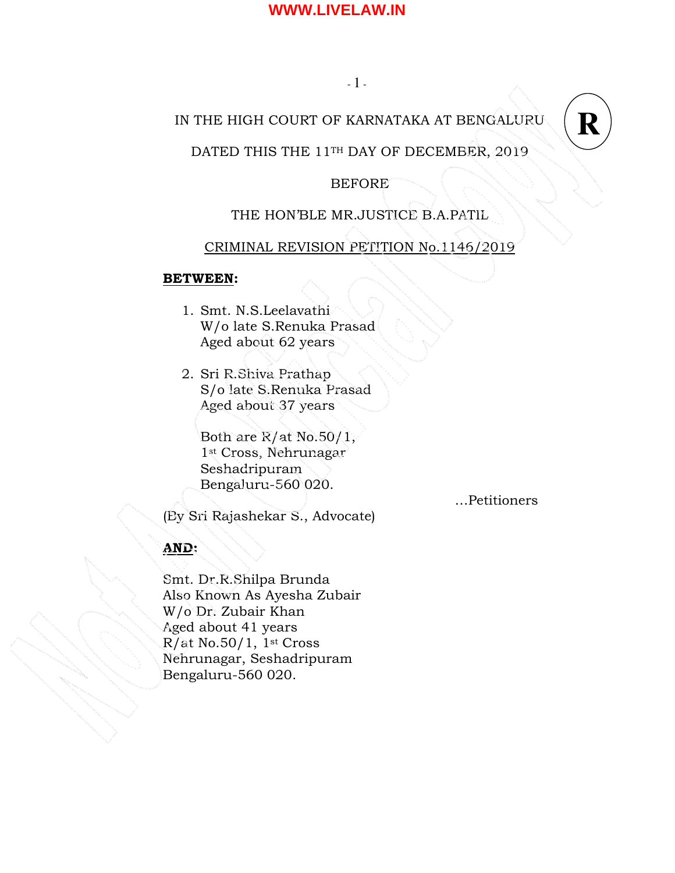# IN THE HIGH COURT OF KARNATAKA AT BENGALURU



# DATED THIS THE 11TH DAY OF DECEMBER, 2019

# BEFORE

# THE HON'BLE MR.JUSTICE B.A.PATIL

### CRIMINAL REVISION PETITION No.1146/2019

#### BETWEEN:

- 1. Smt. N.S.Leelavathi W/o late S.Renuka Prasad Aged about 62 years
- 2. Sri R.Shiva Prathap S/o late S.Renuka Prasad Aged about 37 years

Both are R/at No.50/1, 1st Cross, Nehrunagar Seshadripuram Bengaluru-560 020.

…Petitioners

(By Sri Rajashekar S., Advocate)

# AND:

Smt. Dr.R.Shilpa Brunda Also Known As Ayesha Zubair W/o Dr. Zubair Khan Aged about 41 years R/at No.50/1, 1st Cross Nehrunagar, Seshadripuram Bengaluru-560 020.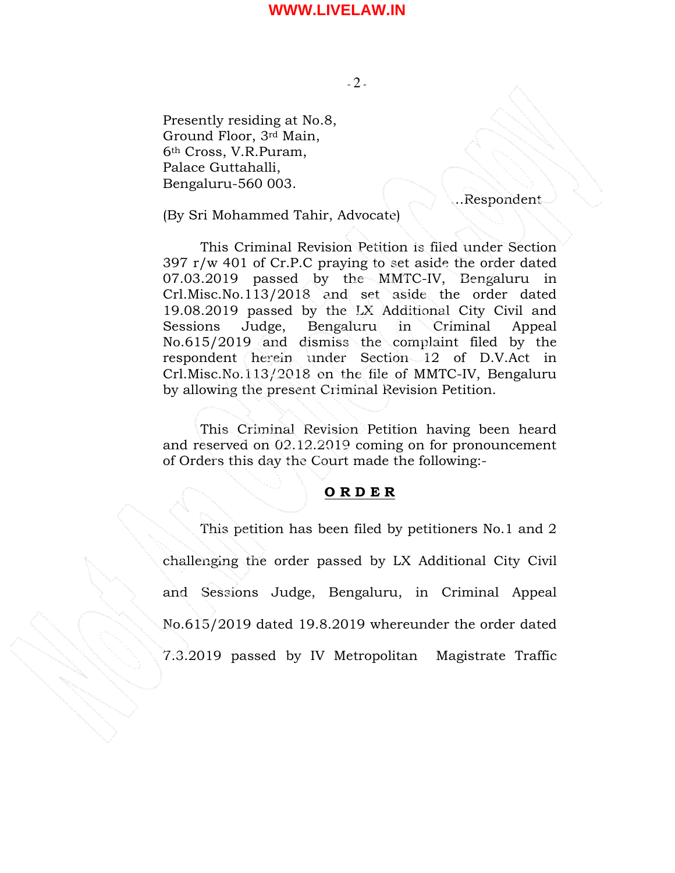$-2$  -

Presently residing at No.8, Ground Floor, 3rd Main, 6th Cross, V.R.Puram, Palace Guttahalli, Bengaluru-560 003.

…Respondent

(By Sri Mohammed Tahir, Advocate)

 This Criminal Revision Petition is filed under Section 397 r/w 401 of Cr.P.C praying to set aside the order dated 07.03.2019 passed by the MMTC-IV, Bengaluru in Crl.Misc.No.113/2018 and set aside the order dated 19.08.2019 passed by the LX Additional City Civil and Sessions Judge, Bengaluru in Criminal Appeal No.615/2019 and dismiss the complaint filed by the respondent herein under Section 12 of D.V.Act in Crl.Misc.No.113/2018 on the file of MMTC-IV, Bengaluru by allowing the present Criminal Revision Petition.

This Criminal Revision Petition having been heard and reserved on 02.12.2019 coming on for pronouncement of Orders this day the Court made the following:-

#### O R D E R

 This petition has been filed by petitioners No.1 and 2 challenging the order passed by LX Additional City Civil and Sessions Judge, Bengaluru, in Criminal Appeal No.615/2019 dated 19.8.2019 whereunder the order dated 7.3.2019 passed by IV Metropolitan Magistrate Traffic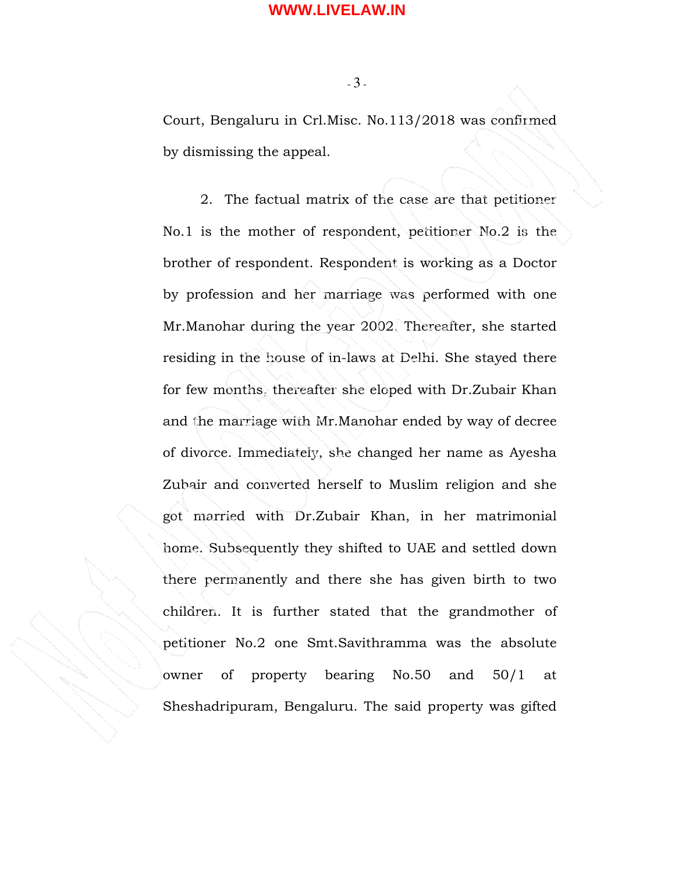$-3-$ 

Court, Bengaluru in Crl.Misc. No.113/2018 was confirmed by dismissing the appeal.

 2. The factual matrix of the case are that petitioner No.1 is the mother of respondent, petitioner No.2 is the brother of respondent. Respondent is working as a Doctor by profession and her marriage was performed with one Mr.Manohar during the year 2002. Thereafter, she started residing in the house of in-laws at Delhi. She stayed there for few months, thereafter she eloped with Dr.Zubair Khan and the marriage with Mr.Manohar ended by way of decree of divorce. Immediately, she changed her name as Ayesha Zubair and converted herself to Muslim religion and she got married with Dr.Zubair Khan, in her matrimonial home. Subsequently they shifted to UAE and settled down there permanently and there she has given birth to two children. It is further stated that the grandmother of petitioner No.2 one Smt.Savithramma was the absolute owner of property bearing No.50 and 50/1 at Sheshadripuram, Bengaluru. The said property was gifted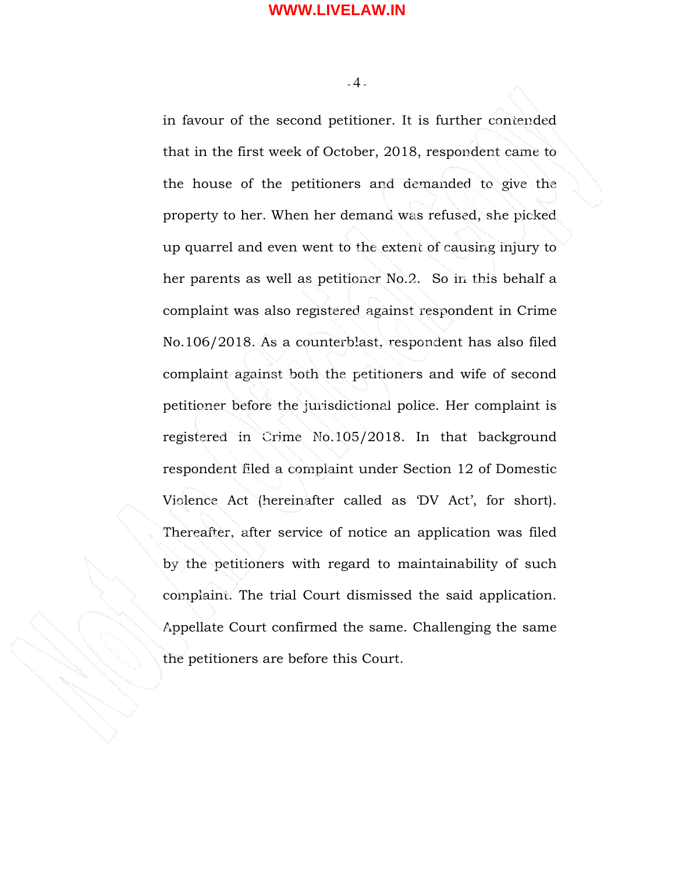$-4$  -

in favour of the second petitioner. It is further contended that in the first week of October, 2018, respondent came to the house of the petitioners and demanded to give the property to her. When her demand was refused, she picked up quarrel and even went to the extent of causing injury to her parents as well as petitioner No.2. So in this behalf a complaint was also registered against respondent in Crime No.106/2018. As a counterblast, respondent has also filed complaint against both the petitioners and wife of second petitioner before the jurisdictional police. Her complaint is registered in Crime No.105/2018. In that background respondent filed a complaint under Section 12 of Domestic Violence Act (hereinafter called as 'DV Act', for short). Thereafter, after service of notice an application was filed by the petitioners with regard to maintainability of such complaint. The trial Court dismissed the said application. Appellate Court confirmed the same. Challenging the same the petitioners are before this Court.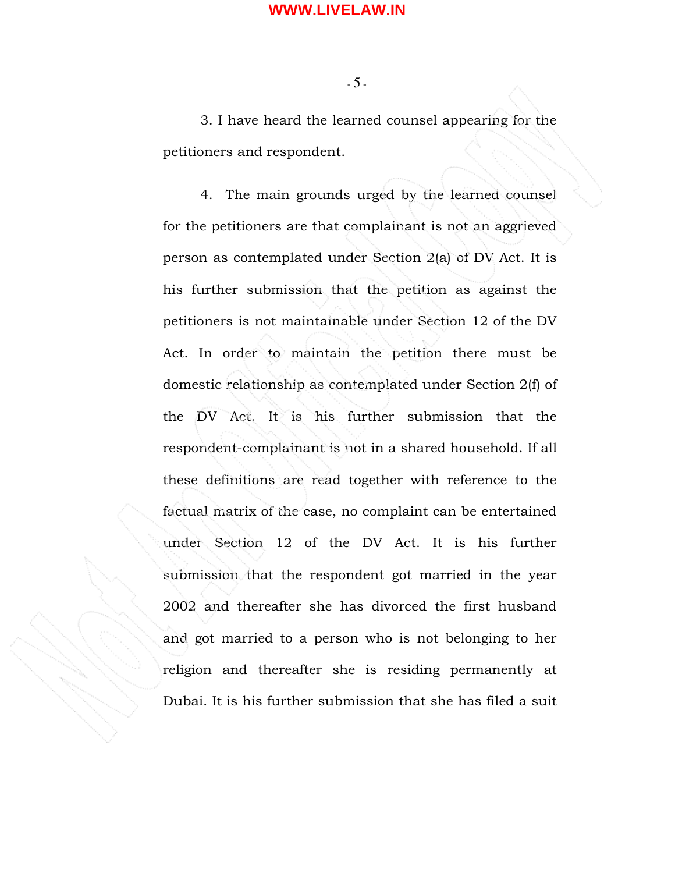$-5 -$ 

 3. I have heard the learned counsel appearing for the petitioners and respondent.

4. The main grounds urged by the learned counsel for the petitioners are that complainant is not an aggrieved person as contemplated under Section 2(a) of DV Act. It is his further submission that the petition as against the petitioners is not maintainable under Section 12 of the DV Act. In order to maintain the petition there must be domestic relationship as contemplated under Section 2(f) of the DV Act. It is his further submission that the respondent-complainant is not in a shared household. If all these definitions are read together with reference to the factual matrix of the case, no complaint can be entertained under Section 12 of the DV Act. It is his further submission that the respondent got married in the year 2002 and thereafter she has divorced the first husband and got married to a person who is not belonging to her religion and thereafter she is residing permanently at Dubai. It is his further submission that she has filed a suit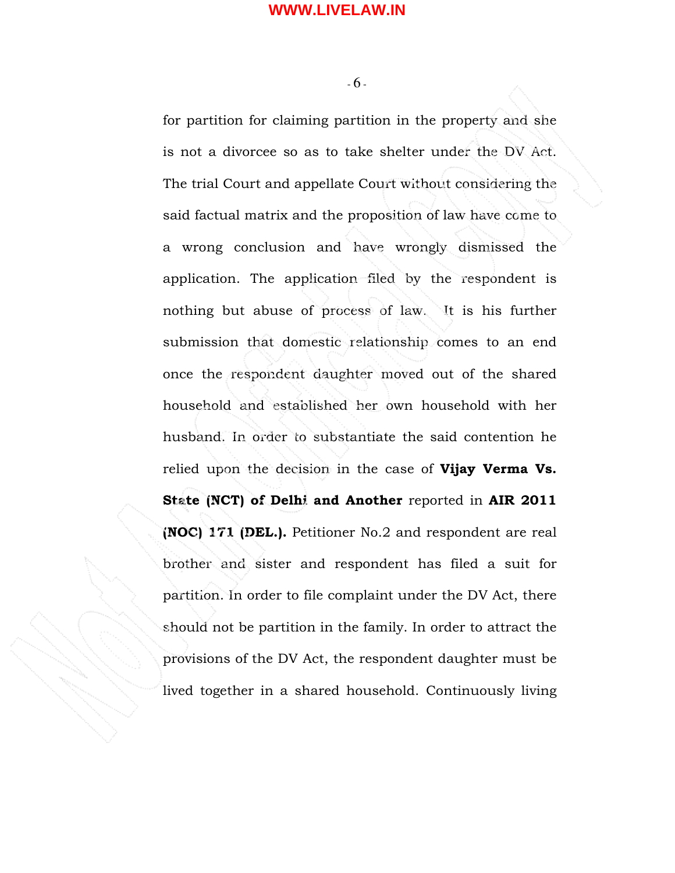$-6 -$ 

for partition for claiming partition in the property and she is not a divorcee so as to take shelter under the DV Act. The trial Court and appellate Court without considering the said factual matrix and the proposition of law have come to a wrong conclusion and have wrongly dismissed the application. The application filed by the respondent is nothing but abuse of process of law. It is his further submission that domestic relationship comes to an end once the respondent daughter moved out of the shared household and established her own household with her husband. In order to substantiate the said contention he relied upon the decision in the case of Vijay Verma Vs. State (NCT) of Delhi and Another reported in AIR 2011 (NOC) 171 (DEL.). Petitioner No.2 and respondent are real brother and sister and respondent has filed a suit for partition. In order to file complaint under the DV Act, there should not be partition in the family. In order to attract the provisions of the DV Act, the respondent daughter must be lived together in a shared household. Continuously living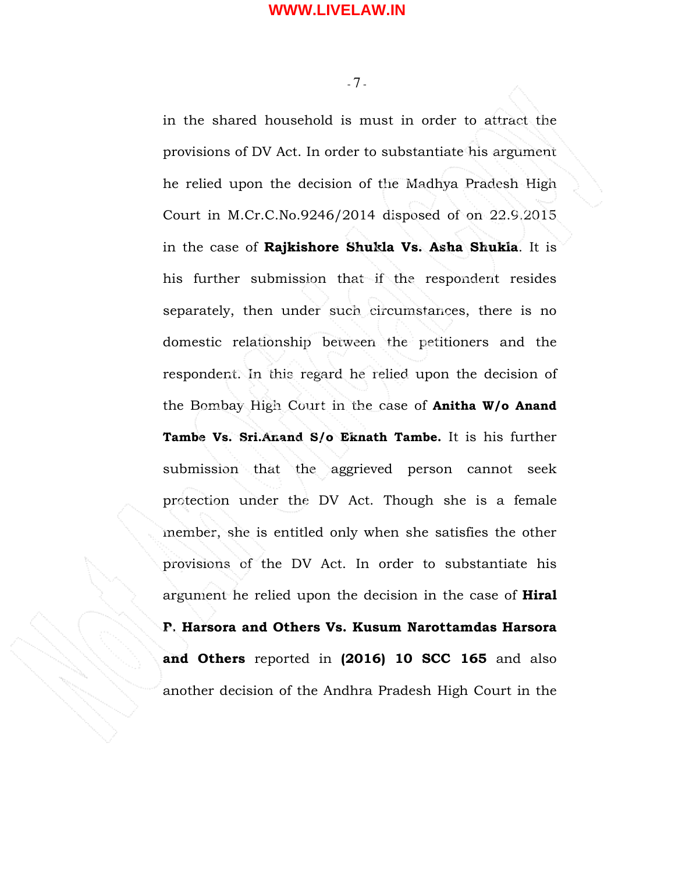$-7$  -

in the shared household is must in order to attract the provisions of DV Act. In order to substantiate his argument he relied upon the decision of the Madhya Pradesh High Court in M.Cr.C.No.9246/2014 disposed of on 22.9.2015 in the case of Rajkishore Shukla Vs. Asha Shukla. It is his further submission that if the respondent resides separately, then under such circumstances, there is no domestic relationship between the petitioners and the respondent. In this regard he relied upon the decision of the Bombay High Court in the case of Anitha W/o Anand Tambe Vs. Sri.Anand S/o Eknath Tambe. It is his further submission that the aggrieved person cannot seek protection under the DV Act. Though she is a female member, she is entitled only when she satisfies the other provisions of the DV Act. In order to substantiate his argument he relied upon the decision in the case of **Hiral** P. Harsora and Others Vs. Kusum Narottamdas Harsora and Others reported in (2016) 10 SCC 165 and also another decision of the Andhra Pradesh High Court in the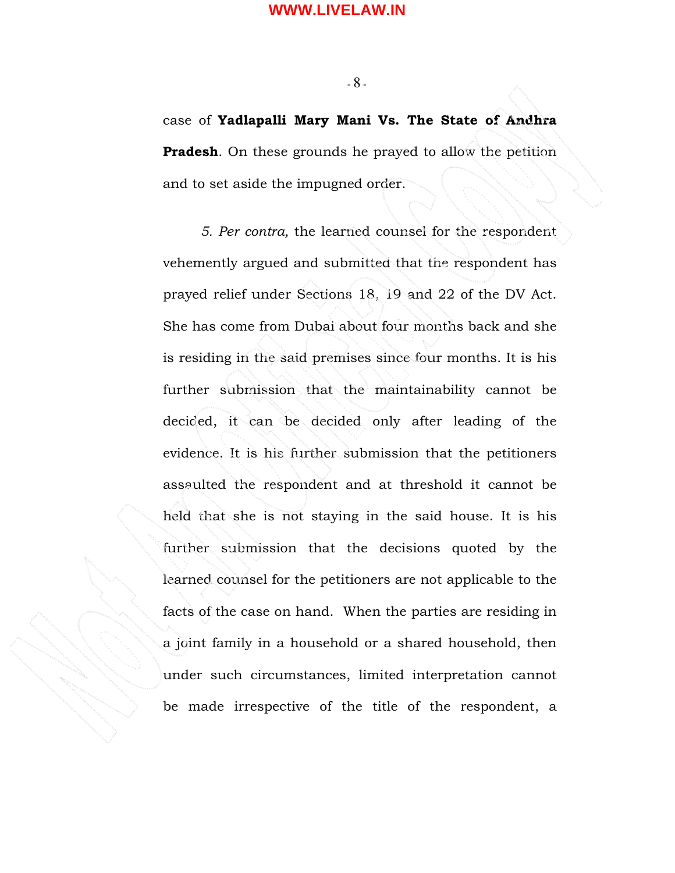$-8 -$ 

case of Yadlapalli Mary Mani Vs. The State of Andhra **Pradesh.** On these grounds he prayed to allow the petition and to set aside the impugned order.

5. Per contra, the learned counsel for the respondent vehemently argued and submitted that the respondent has prayed relief under Sections 18, 19 and 22 of the DV Act. She has come from Dubai about four months back and she is residing in the said premises since four months. It is his further submission that the maintainability cannot be decided, it can be decided only after leading of the evidence. It is his further submission that the petitioners assaulted the respondent and at threshold it cannot be held that she is not staying in the said house. It is his further submission that the decisions quoted by the learned counsel for the petitioners are not applicable to the facts of the case on hand. When the parties are residing in a joint family in a household or a shared household, then under such circumstances, limited interpretation cannot be made irrespective of the title of the respondent, a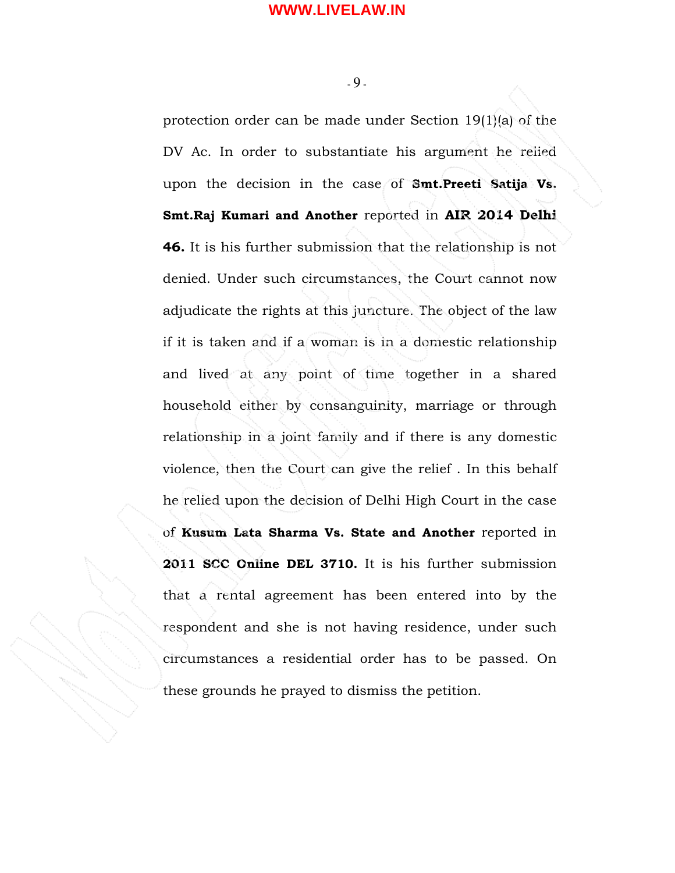$-9 -$ 

protection order can be made under Section 19(1)(a) of the DV Ac. In order to substantiate his argument he relied upon the decision in the case of Smt.Preeti Satija Vs. Smt.Raj Kumari and Another reported in AIR 2014 Delhi 46. It is his further submission that the relationship is not denied. Under such circumstances, the Court cannot now adjudicate the rights at this juncture. The object of the law if it is taken and if a woman is in a domestic relationship and lived at any point of time together in a shared household either by consanguinity, marriage or through relationship in a joint family and if there is any domestic violence, then the Court can give the relief . In this behalf he relied upon the decision of Delhi High Court in the case of Kusum Lata Sharma Vs. State and Another reported in 2011 SCC Online DEL 3710. It is his further submission that a rental agreement has been entered into by the respondent and she is not having residence, under such circumstances a residential order has to be passed. On these grounds he prayed to dismiss the petition.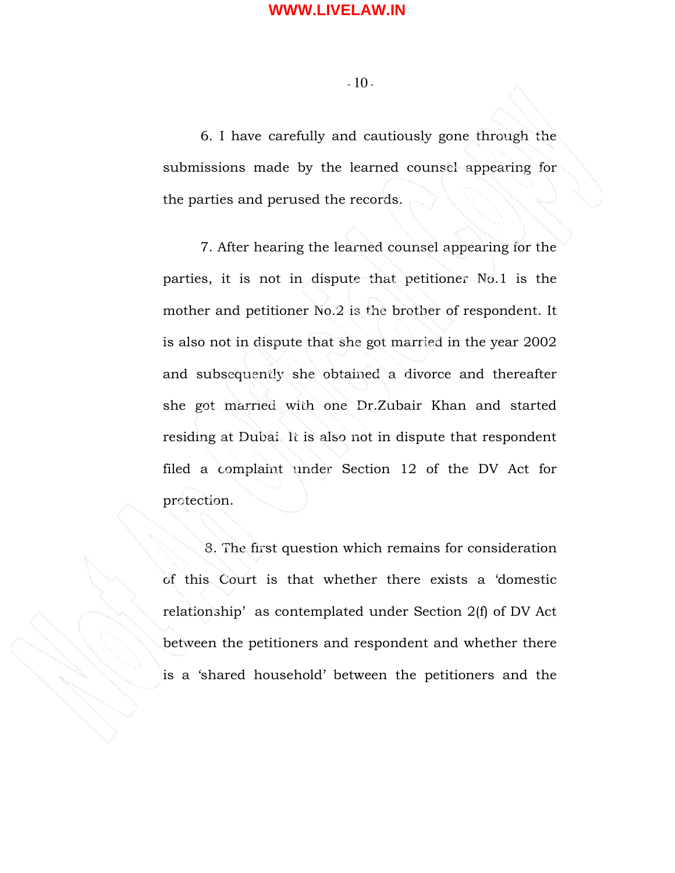- 10 -

6. I have carefully and cautiously gone through the submissions made by the learned counsel appearing for the parties and perused the records.

 7. After hearing the learned counsel appearing for the parties, it is not in dispute that petitioner No.1 is the mother and petitioner No.2 is the brother of respondent. It is also not in dispute that she got married in the year 2002 and subsequently she obtained a divorce and thereafter she got married with one Dr.Zubair Khan and started residing at Dubai. It is also not in dispute that respondent filed a complaint under Section 12 of the DV Act for protection.

 8. The first question which remains for consideration of this Court is that whether there exists a 'domestic relationship' as contemplated under Section 2(f) of DV Act between the petitioners and respondent and whether there is a 'shared household' between the petitioners and the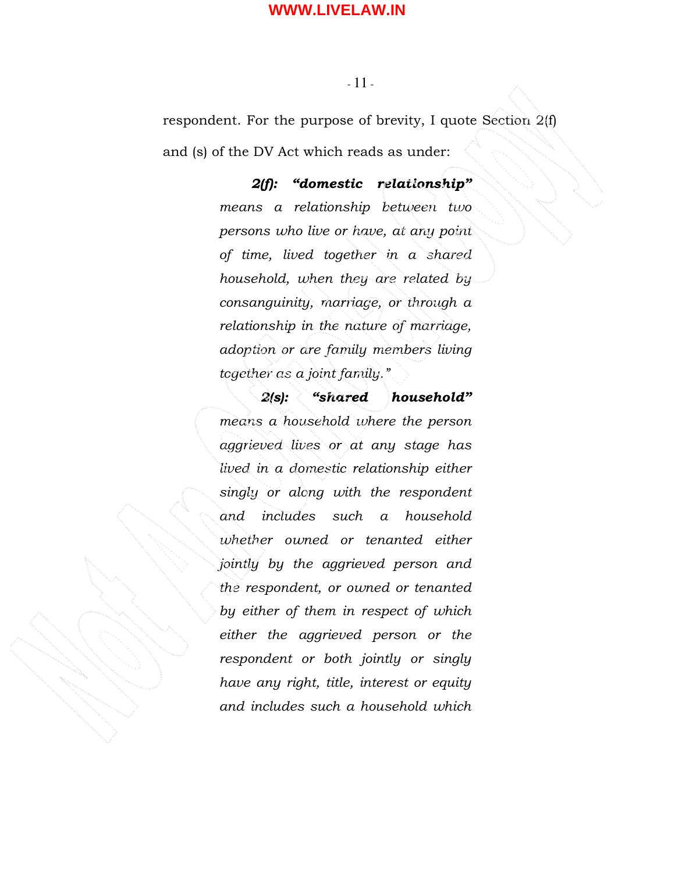#### - 11 -

respondent. For the purpose of brevity, I quote Section 2(f) and (s) of the DV Act which reads as under:

> 2(f): "domestic relationship" means a relationship between two persons who live or have, at any point of time, lived together in a shared household, when they are related by consanguinity, marriage, or through a relationship in the nature of marriage, adoption or are family members living together as a joint family."

> 2(s): "shared household" means a household where the person aggrieved lives or at any stage has lived in a domestic relationship either singly or along with the respondent and includes such a household whether owned or tenanted either jointly by the aggrieved person and the respondent, or owned or tenanted by either of them in respect of which either the aggrieved person or the respondent or both jointly or singly have any right, title, interest or equity and includes such a household which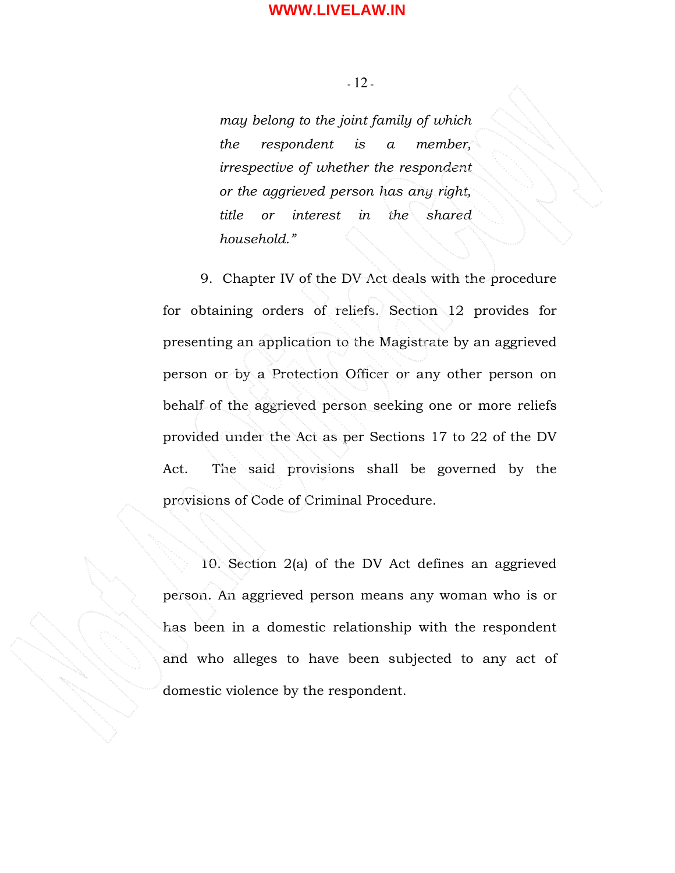- 12 -

may belong to the joint family of which the respondent is a member, irrespective of whether the respondent or the aggrieved person has any right, title or interest in the shared household."

9. Chapter IV of the DV Act deals with the procedure for obtaining orders of reliefs. Section 12 provides for presenting an application to the Magistrate by an aggrieved person or by a Protection Officer or any other person on behalf of the aggrieved person seeking one or more reliefs provided under the Act as per Sections 17 to 22 of the DV Act. The said provisions shall be governed by the provisions of Code of Criminal Procedure.

10. Section 2(a) of the DV Act defines an aggrieved person. An aggrieved person means any woman who is or has been in a domestic relationship with the respondent and who alleges to have been subjected to any act of domestic violence by the respondent.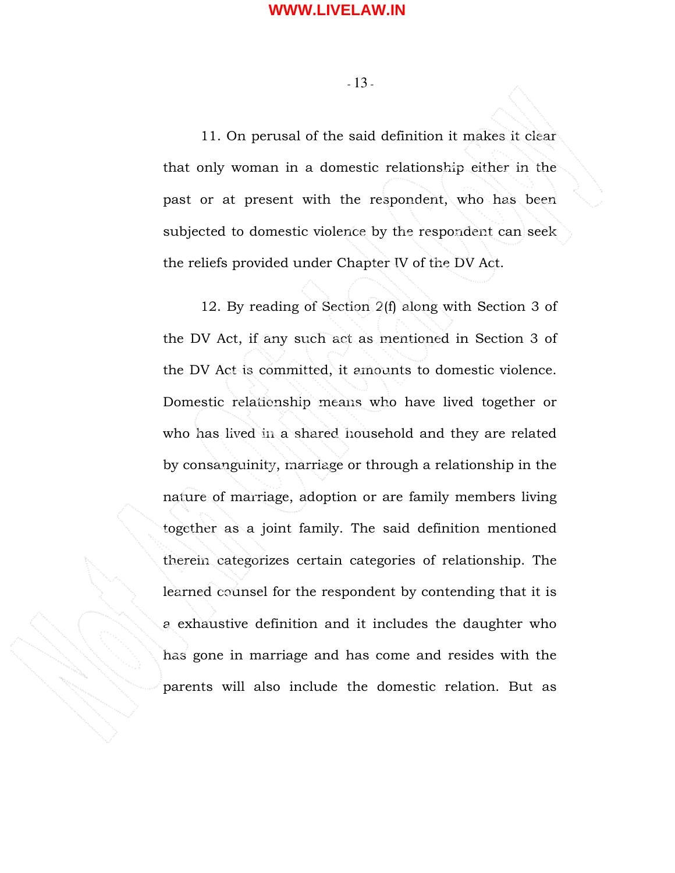- 13 -

11. On perusal of the said definition it makes it clear that only woman in a domestic relationship either in the past or at present with the respondent, who has been subjected to domestic violence by the respondent can seek the reliefs provided under Chapter IV of the DV Act.

12. By reading of Section 2(f) along with Section 3 of the DV Act, if any such act as mentioned in Section 3 of the DV Act is committed, it amounts to domestic violence. Domestic relationship means who have lived together or who has lived in a shared household and they are related by consanguinity, marriage or through a relationship in the nature of marriage, adoption or are family members living together as a joint family. The said definition mentioned therein categorizes certain categories of relationship. The learned counsel for the respondent by contending that it is a exhaustive definition and it includes the daughter who has gone in marriage and has come and resides with the parents will also include the domestic relation. But as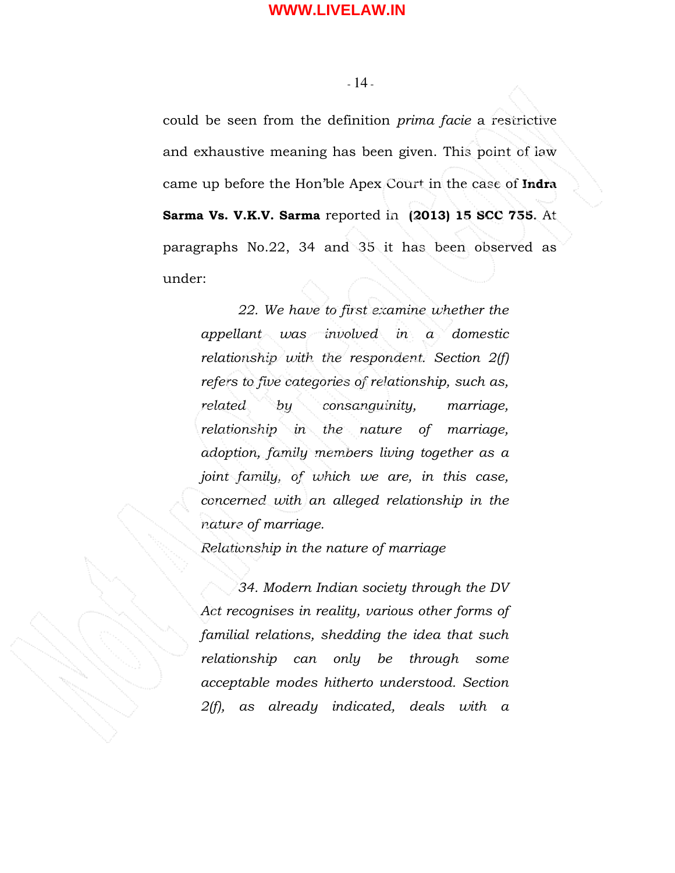- 14 -

could be seen from the definition prima facie a restrictive and exhaustive meaning has been given. This point of law came up before the Hon'ble Apex Court in the case of Indra Sarma Vs. V.K.V. Sarma reported in (2013) 15 SCC 755. At paragraphs No.22, 34 and 35 it has been observed as under:

22. We have to first examine whether the appellant was involved in a domestic relationship with the respondent. Section 2(f) refers to five categories of relationship, such as, related by consanguinity, marriage, relationship in the nature of marriage, adoption, family members living together as a joint family, of which we are, in this case, concerned with an alleged relationship in the nature of marriage.

Relationship in the nature of marriage

34. Modern Indian society through the DV Act recognises in reality, various other forms of familial relations, shedding the idea that such relationship can only be through some acceptable modes hitherto understood. Section 2(f), as already indicated, deals with a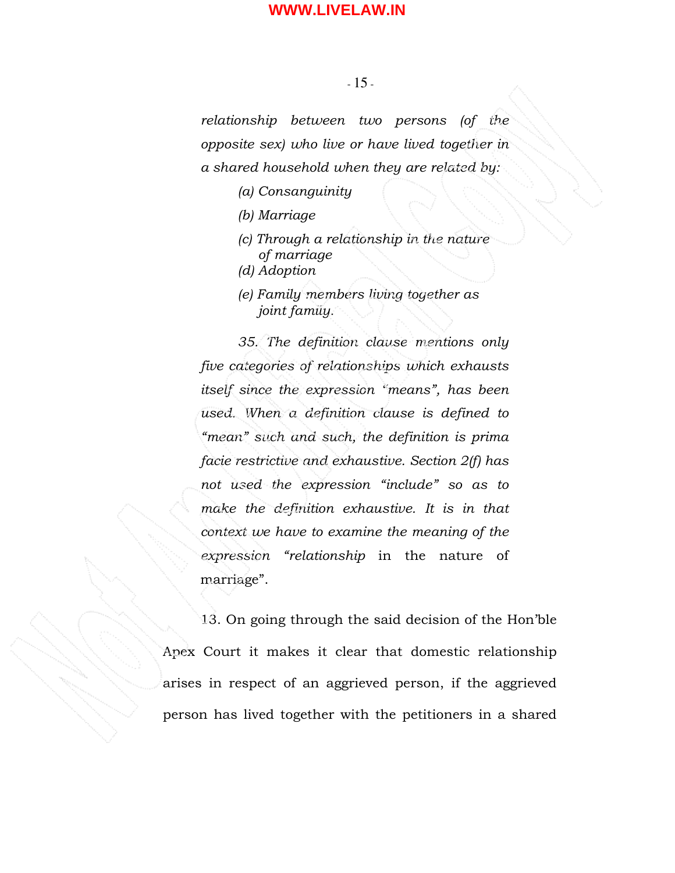#### - 15 -

relationship between two persons (of the opposite sex) who live or have lived together in a shared household when they are related by:

- (a) Consanguinity
- (b) Marriage
- (c) Through a relationship in the nature of marriage
- (d) Adoption
- (e) Family members living together as joint family.

35. The definition clause mentions only five categories of relationships which exhausts itself since the expression "means", has been used. When a definition clause is defined to "mean" such and such, the definition is prima facie restrictive and exhaustive. Section 2(f) has not used the expression "include" so as to make the definition exhaustive. It is in that context we have to examine the meaning of the expression "relationship in the nature of marriage".

 13. On going through the said decision of the Hon'ble Apex Court it makes it clear that domestic relationship arises in respect of an aggrieved person, if the aggrieved person has lived together with the petitioners in a shared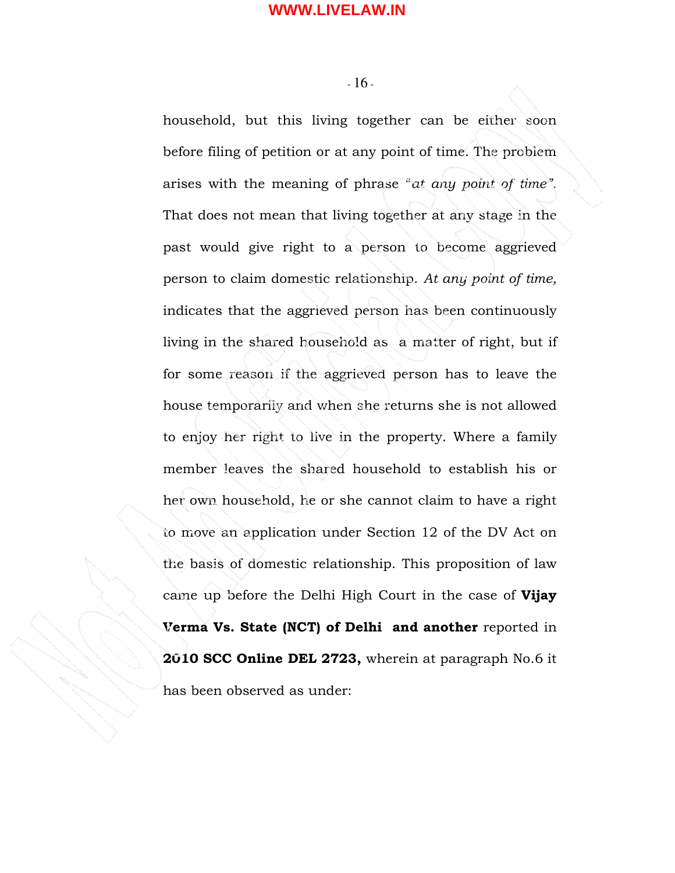- 16 -

household, but this living together can be either soon before filing of petition or at any point of time. The problem arises with the meaning of phrase "at any point of time". That does not mean that living together at any stage in the past would give right to a person to become aggrieved person to claim domestic relationship. At any point of time, indicates that the aggrieved person has been continuously living in the shared household as a matter of right, but if for some reason if the aggrieved person has to leave the house temporarily and when she returns she is not allowed to enjoy her right to live in the property. Where a family member leaves the shared household to establish his or her own household, he or she cannot claim to have a right to move an application under Section 12 of the DV Act on the basis of domestic relationship. This proposition of law came up before the Delhi High Court in the case of Vijay Verma Vs. State (NCT) of Delhi and another reported in 2010 SCC Online DEL 2723, wherein at paragraph No.6 it has been observed as under: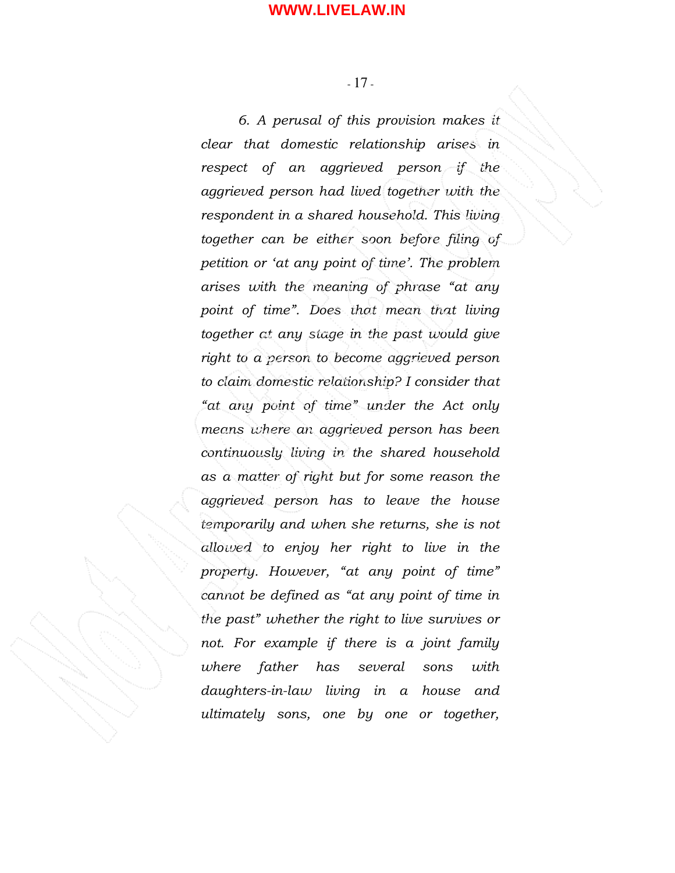6. A perusal of this provision makes it clear that domestic relationship arises in respect of an aggrieved person if the aggrieved person had lived together with the respondent in a shared household. This living together can be either soon before filing of petition or 'at any point of time'. The problem arises with the meaning of phrase "at any point of time". Does that mean that living together at any stage in the past would give right to a person to become aggrieved person to claim domestic relationship? I consider that "at any point of time" under the Act only means where an aggrieved person has been continuously living in the shared household as a matter of right but for some reason the aggrieved person has to leave the house temporarily and when she returns, she is not allowed to enjoy her right to live in the property. However, "at any point of time" cannot be defined as "at any point of time in the past" whether the right to live survives or not. For example if there is a joint family where father has several sons with daughters-in-law living in a house and ultimately sons, one by one or together,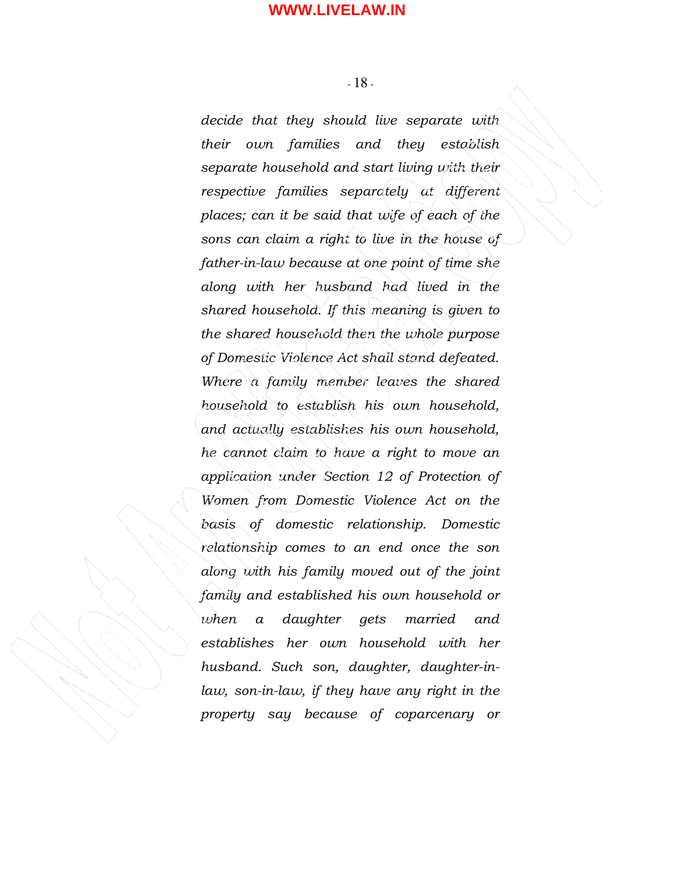- 18 -

decide that they should live separate with their own families and they establish separate household and start living with their respective families separately at different places; can it be said that wife of each of the sons can claim a right to live in the house of father-in-law because at one point of time she along with her husband had lived in the shared household. If this meaning is given to the shared household then the whole purpose of Domestic Violence Act shall stand defeated. Where a family member leaves the shared household to establish his own household, and actually establishes his own household, he cannot claim to have a right to move an application under Section 12 of Protection of Women from Domestic Violence Act on the basis of domestic relationship. Domestic relationship comes to an end once the son along with his family moved out of the joint family and established his own household or when a daughter gets married and establishes her own household with her husband. Such son, daughter, daughter-inlaw, son-in-law, if they have any right in the property say because of coparcenary or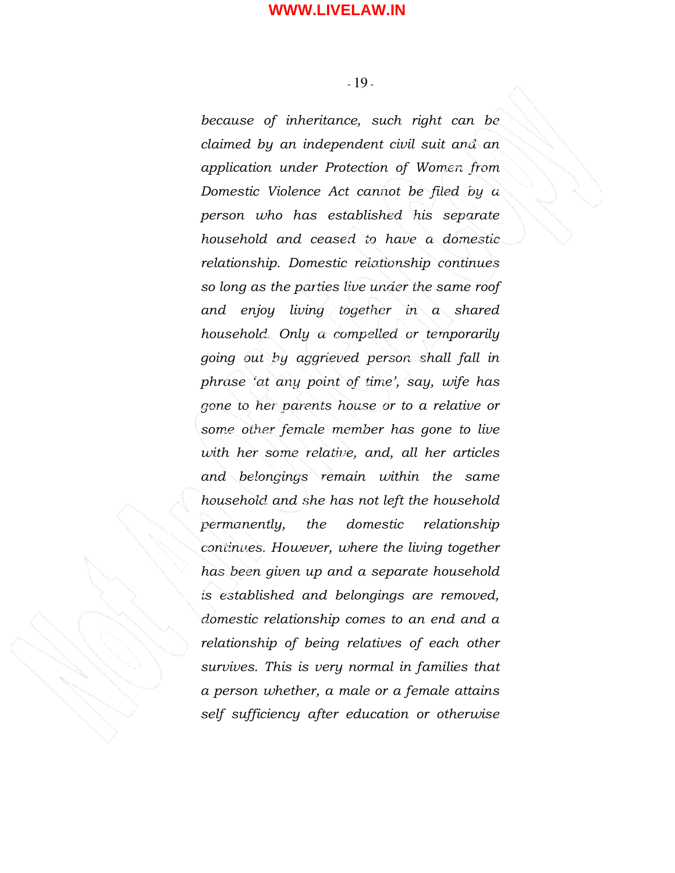because of inheritance, such right can be claimed by an independent civil suit and an application under Protection of Women from Domestic Violence Act cannot be filed by a person who has established his separate household and ceased to have a domestic relationship. Domestic relationship continues so long as the parties live under the same roof and enjoy living together in a shared household. Only a compelled or temporarily going out by aggrieved person shall fall in phrase 'at any point of time', say, wife has gone to her parents house or to a relative or some other female member has gone to live with her some relative, and, all her articles and belongings remain within the same household and she has not left the household permanently, the domestic relationship continues. However, where the living together has been given up and a separate household is established and belongings are removed, domestic relationship comes to an end and a relationship of being relatives of each other survives. This is very normal in families that a person whether, a male or a female attains self sufficiency after education or otherwise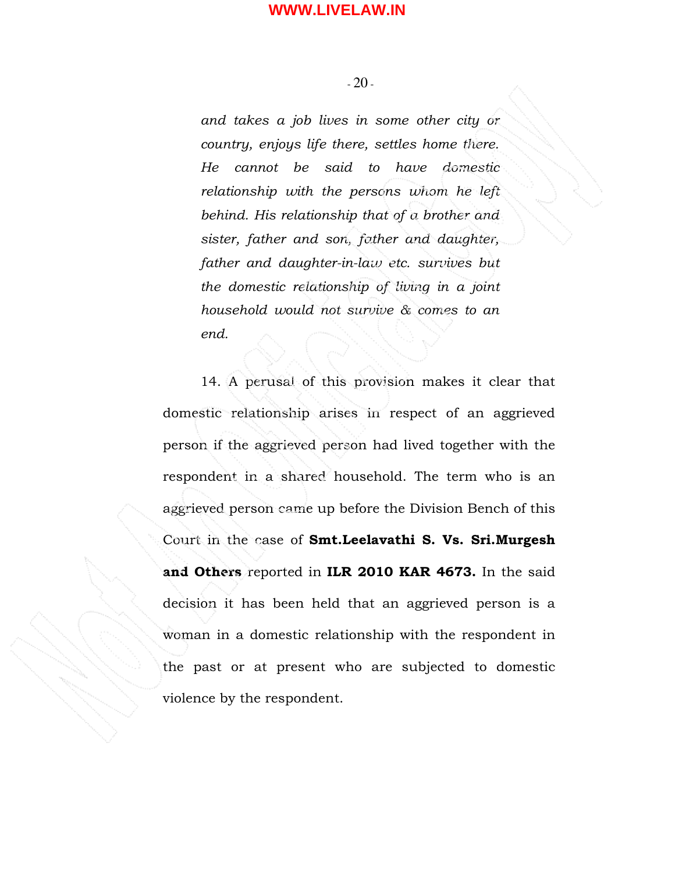- 20 -

and takes a job lives in some other city or country, enjoys life there, settles home there. He cannot be said to have domestic relationship with the persons whom he left behind. His relationship that of a brother and sister, father and son, father and daughter, father and daughter-in-law etc. survives but the domestic relationship of living in a joint household would not survive & comes to an end.

 14. A perusal of this provision makes it clear that domestic relationship arises in respect of an aggrieved person if the aggrieved person had lived together with the respondent in a shared household. The term who is an aggrieved person came up before the Division Bench of this Court in the case of Smt.Leelavathi S. Vs. Sri.Murgesh and Others reported in ILR 2010 KAR 4673. In the said decision it has been held that an aggrieved person is a woman in a domestic relationship with the respondent in the past or at present who are subjected to domestic violence by the respondent.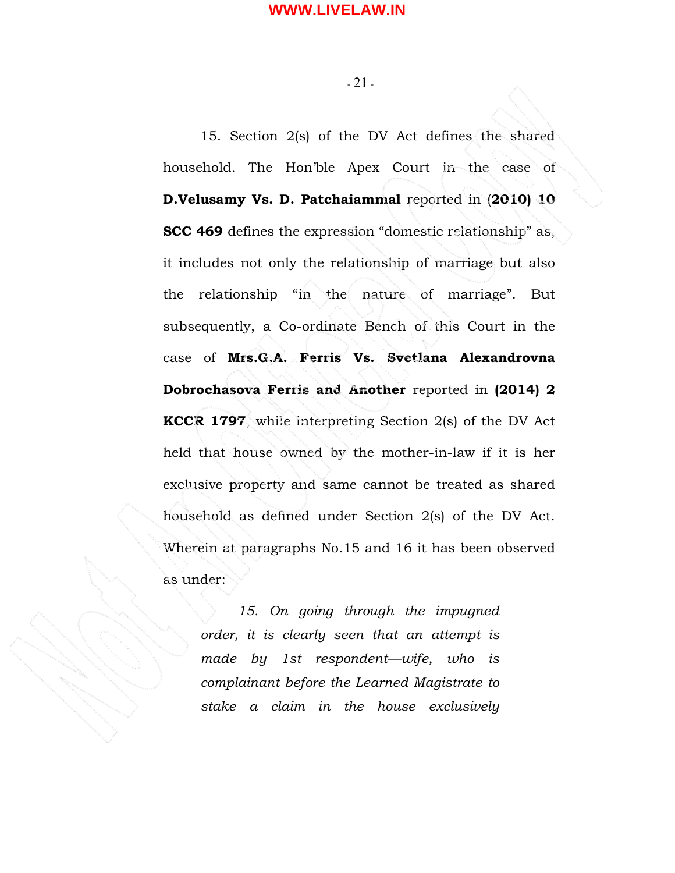- 21 -

15. Section 2(s) of the DV Act defines the shared household. The Hon'ble Apex Court in the case of D.Velusamy Vs. D. Patchaiammal reported in (2010) 10 SCC 469 defines the expression "domestic relationship" as, it includes not only the relationship of marriage but also the relationship "in the nature of marriage". But subsequently, a Co-ordinate Bench of this Court in the case of Mrs.G.A. Ferris Vs. Svetlana Alexandrovna Dobrochasova Ferris and Another reported in (2014) 2 KCCR 1797, while interpreting Section 2(s) of the DV Act held that house owned by the mother-in-law if it is her exclusive property and same cannot be treated as shared household as defined under Section 2(s) of the DV Act. Wherein at paragraphs No.15 and 16 it has been observed as under:

15. On going through the impugned order, it is clearly seen that an attempt is made by 1st respondent—wife, who is complainant before the Learned Magistrate to stake a claim in the house exclusively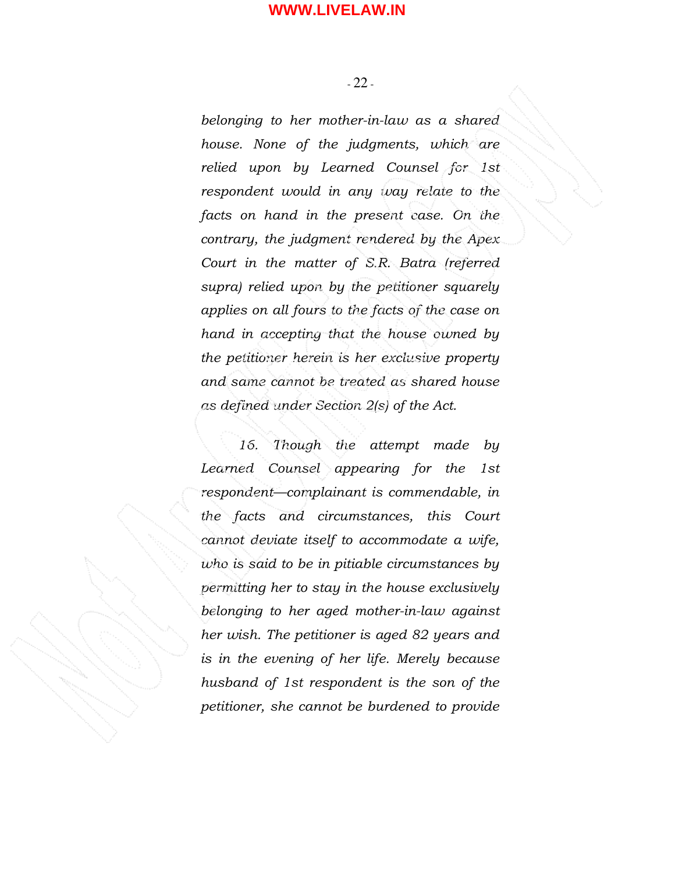- 22 -

belonging to her mother-in-law as a shared house. None of the judgments, which are relied upon by Learned Counsel for 1st respondent would in any way relate to the facts on hand in the present case. On the contrary, the judgment rendered by the Apex Court in the matter of S.R. Batra (referred supra) relied upon by the petitioner squarely applies on all fours to the facts of the case on hand in accepting that the house owned by the petitioner herein is her exclusive property and same cannot be treated as shared house as defined under Section 2(s) of the Act.

16. Though the attempt made by Learned Counsel appearing for the 1st respondent—complainant is commendable, in the facts and circumstances, this Court cannot deviate itself to accommodate a wife, who is said to be in pitiable circumstances by permitting her to stay in the house exclusively belonging to her aged mother-in-law against her wish. The petitioner is aged 82 years and is in the evening of her life. Merely because husband of 1st respondent is the son of the petitioner, she cannot be burdened to provide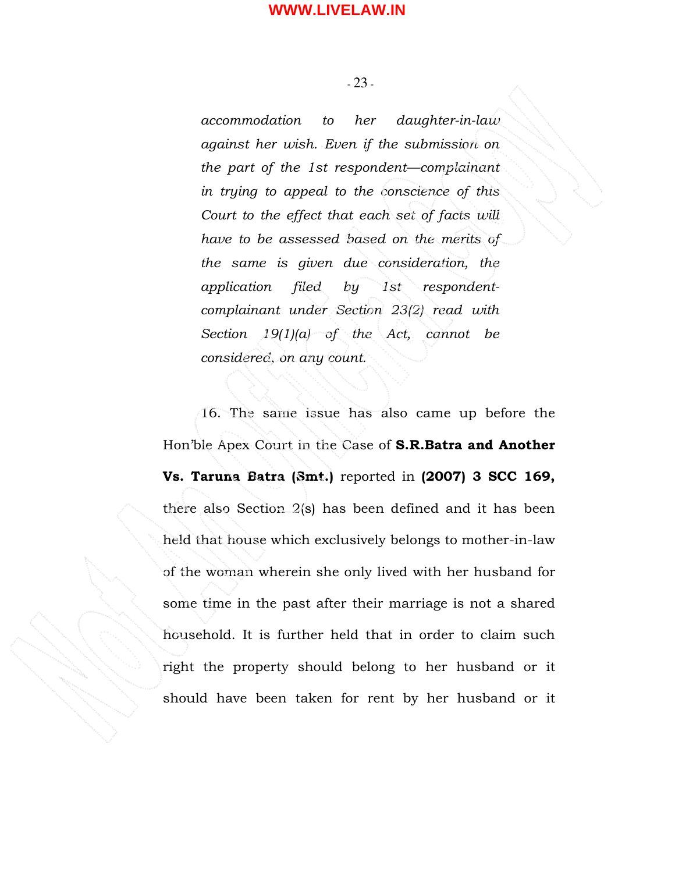- 23 -

accommodation to her daughter-in-law against her wish. Even if the submission on the part of the 1st respondent—complainant in trying to appeal to the conscience of this Court to the effect that each set of facts will have to be assessed based on the merits of the same is given due consideration, the application filed by 1st respondentcomplainant under Section 23(2) read with Section  $19(1)(a)$  of the Act, cannot be considered, on any count.

 16. The same issue has also came up before the Hon'ble Apex Court in the Case of S.R.Batra and Another Vs. Taruna Batra (Smt.) reported in (2007) 3 SCC 169, there also Section 2(s) has been defined and it has been held that house which exclusively belongs to mother-in-law of the woman wherein she only lived with her husband for some time in the past after their marriage is not a shared household. It is further held that in order to claim such right the property should belong to her husband or it should have been taken for rent by her husband or it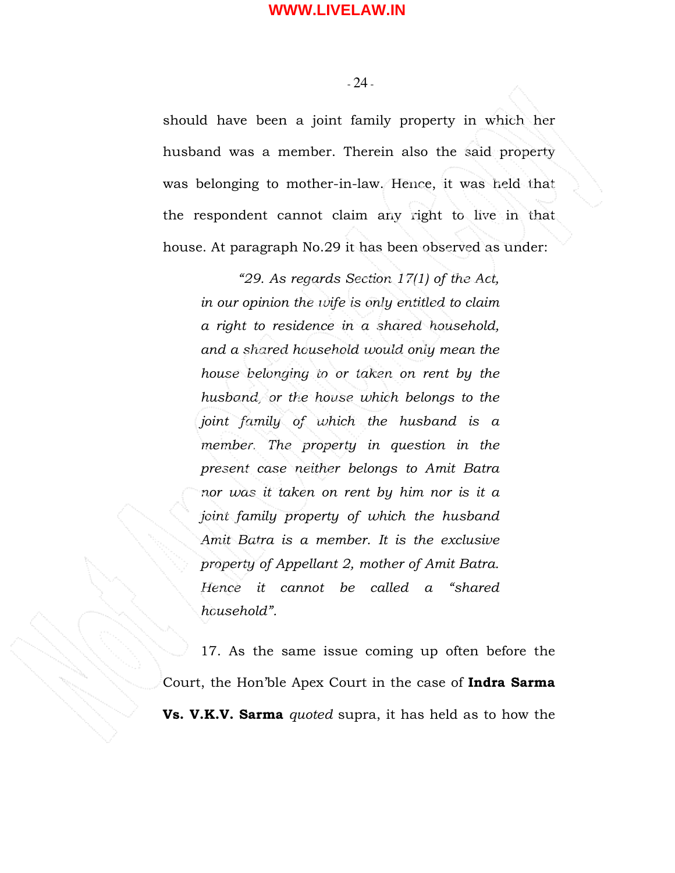- 24 -

should have been a joint family property in which her husband was a member. Therein also the said property was belonging to mother-in-law. Hence, it was held that the respondent cannot claim any right to live in that house. At paragraph No.29 it has been observed as under:

"29. As regards Section 17(1) of the Act, in our opinion the wife is only entitled to claim a right to residence in a shared household, and a shared household would only mean the house belonging to or taken on rent by the husband, or the house which belongs to the joint family of which the husband is a member. The property in question in the present case neither belongs to Amit Batra nor was it taken on rent by him nor is it a joint family property of which the husband Amit Batra is a member. It is the exclusive property of Appellant 2, mother of Amit Batra. Hence it cannot be called a "shared household".

17. As the same issue coming up often before the Court, the Hon'ble Apex Court in the case of Indra Sarma Vs. V.K.V. Sarma quoted supra, it has held as to how the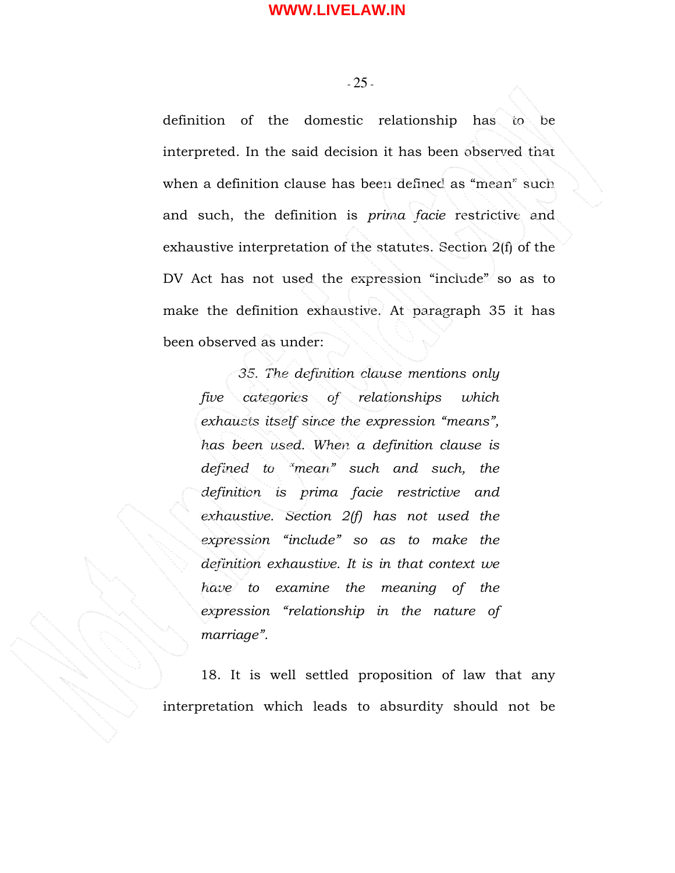- 25 -

definition of the domestic relationship has to be interpreted. In the said decision it has been observed that when a definition clause has been defined as "mean" such and such, the definition is prima facie restrictive and exhaustive interpretation of the statutes. Section 2(f) of the DV Act has not used the expression "include" so as to make the definition exhaustive. At paragraph 35 it has been observed as under:

35. The definition clause mentions only five categories of relationships which exhausts itself since the expression "means", has been used. When a definition clause is defined to "mean" such and such, the definition is prima facie restrictive and exhaustive. Section 2(f) has not used the expression "include" so as to make the definition exhaustive. It is in that context we have to examine the meaning of the expression "relationship in the nature of marriage".

 18. It is well settled proposition of law that any interpretation which leads to absurdity should not be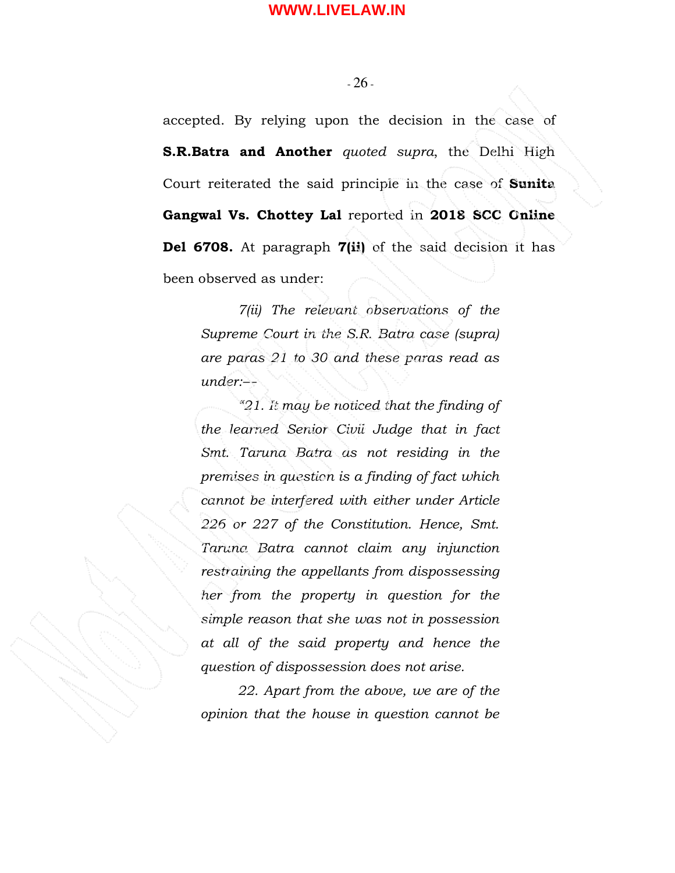accepted. By relying upon the decision in the case of **S.R.Batra and Another** quoted supra, the Delhi High Court reiterated the said principle in the case of Sunita Gangwal Vs. Chottey Lal reported in 2018 SCC Online Del 6708. At paragraph 7(ii) of the said decision it has been observed as under:

7(ii) The relevant observations of the Supreme Court in the S.R. Batra case (supra) are paras 21 to 30 and these paras read as under:—

"21. It may be noticed that the finding of the learned Senior Civil Judge that in fact Smt. Taruna Batra as not residing in the premises in question is a finding of fact which cannot be interfered with either under Article 226 or 227 of the Constitution. Hence, Smt. Taruna Batra cannot claim any injunction restraining the appellants from dispossessing her from the property in question for the simple reason that she was not in possession at all of the said property and hence the question of dispossession does not arise.

22. Apart from the above, we are of the opinion that the house in question cannot be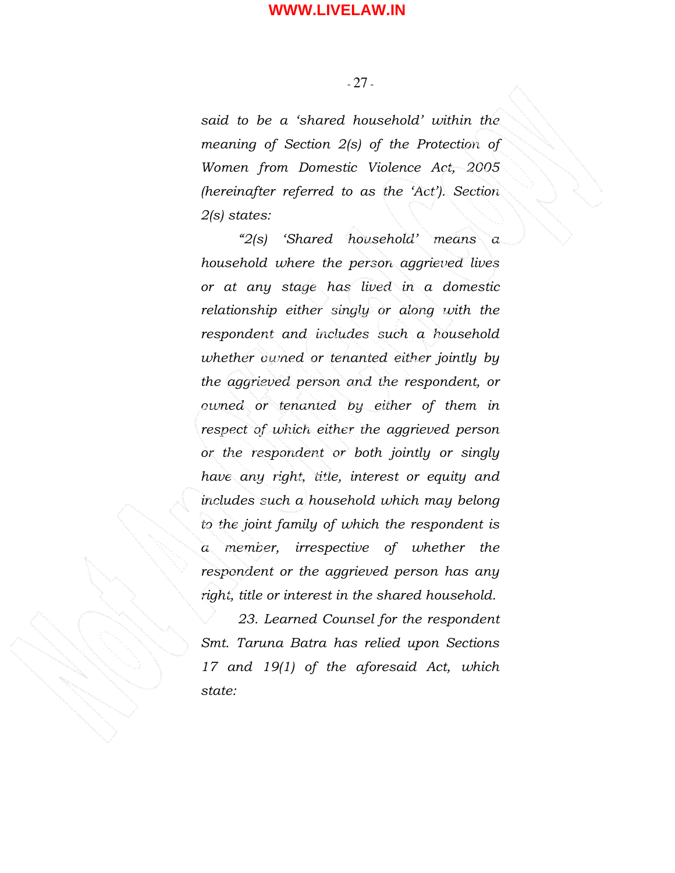- 27 -

said to be a 'shared household' within the meaning of Section 2(s) of the Protection of Women from Domestic Violence Act, 2005 (hereinafter referred to as the 'Act'). Section 2(s) states:

"2(s) 'Shared household' means a household where the person aggrieved lives or at any stage has lived in a domestic relationship either singly or along with the respondent and includes such a household whether owned or tenanted either jointly by the aggrieved person and the respondent, or owned or tenanted by either of them in respect of which either the aggrieved person or the respondent or both jointly or singly have any right, title, interest or equity and includes such a household which may belong to the joint family of which the respondent is a member, irrespective of whether the respondent or the aggrieved person has any right, title or interest in the shared household.

23. Learned Counsel for the respondent Smt. Taruna Batra has relied upon Sections 17 and 19(1) of the aforesaid Act, which state: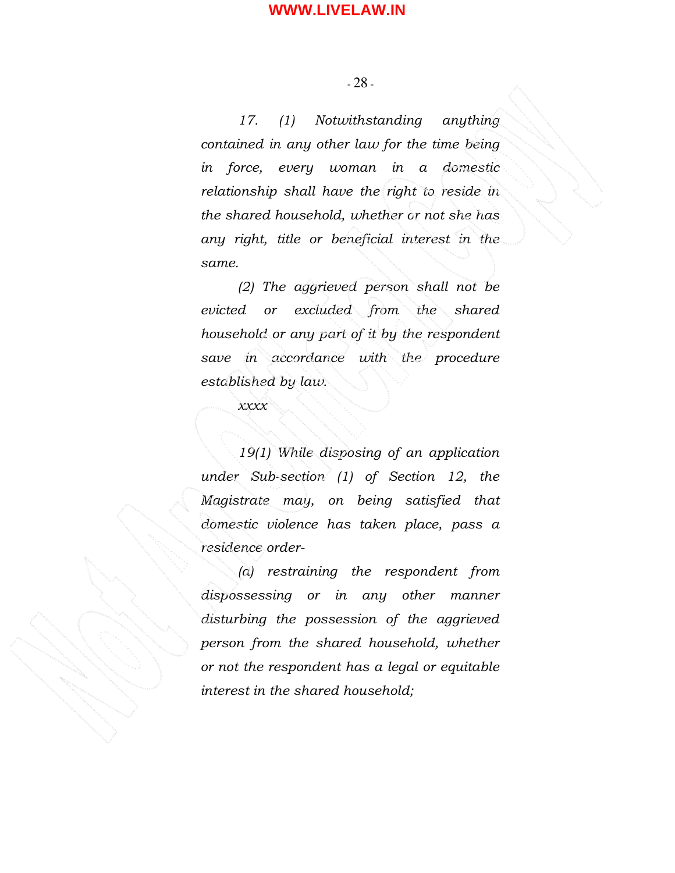17. (1) Notwithstanding anything contained in any other law for the time being in force, every woman in a domestic relationship shall have the right to reside in the shared household, whether or not she has any right, title or beneficial interest in the same.

(2) The aggrieved person shall not be evicted or excluded from the shared household or any part of it by the respondent save in accordance with the procedure established by law.

xxxx

19(1) While disposing of an application under Sub-section (1) of Section 12, the Magistrate may, on being satisfied that domestic violence has taken place, pass a residence order-

(a) restraining the respondent from dispossessing or in any other manner disturbing the possession of the aggrieved person from the shared household, whether or not the respondent has a legal or equitable interest in the shared household;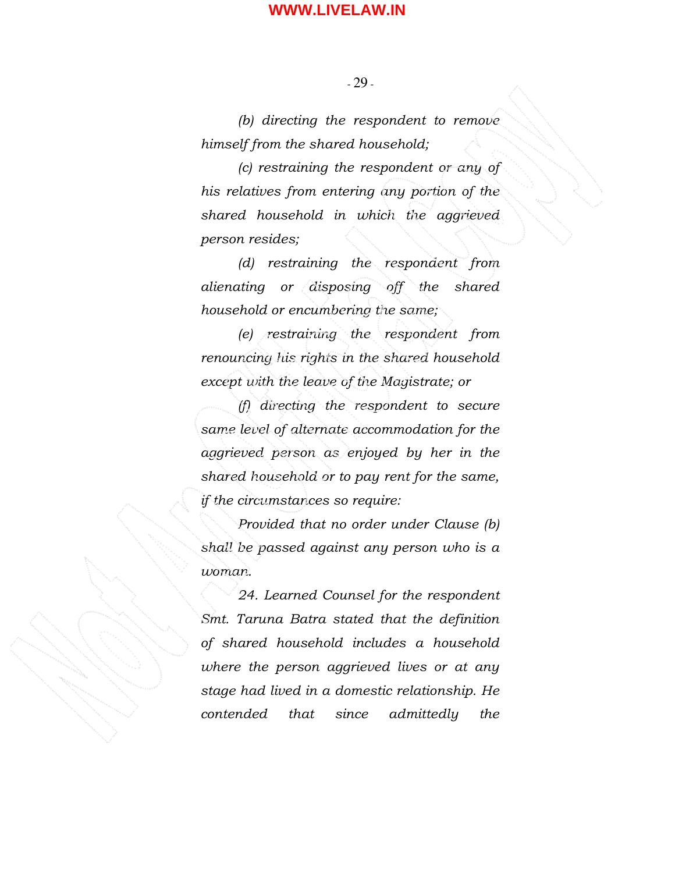- 29 -

(b) directing the respondent to remove himself from the shared household;

(c) restraining the respondent or any of his relatives from entering any portion of the shared household in which the aggrieved person resides;

(d) restraining the respondent from alienating or disposing off the shared household or encumbering the same;

(e) restraining the respondent from renouncing his rights in the shared household except with the leave of the Magistrate; or

(f) directing the respondent to secure same level of alternate accommodation for the aggrieved person as enjoyed by her in the shared household or to pay rent for the same, if the circumstances so require:

Provided that no order under Clause (b) shall be passed against any person who is a woman.

24. Learned Counsel for the respondent Smt. Taruna Batra stated that the definition of shared household includes a household where the person aggrieved lives or at any stage had lived in a domestic relationship. He contended that since admittedly the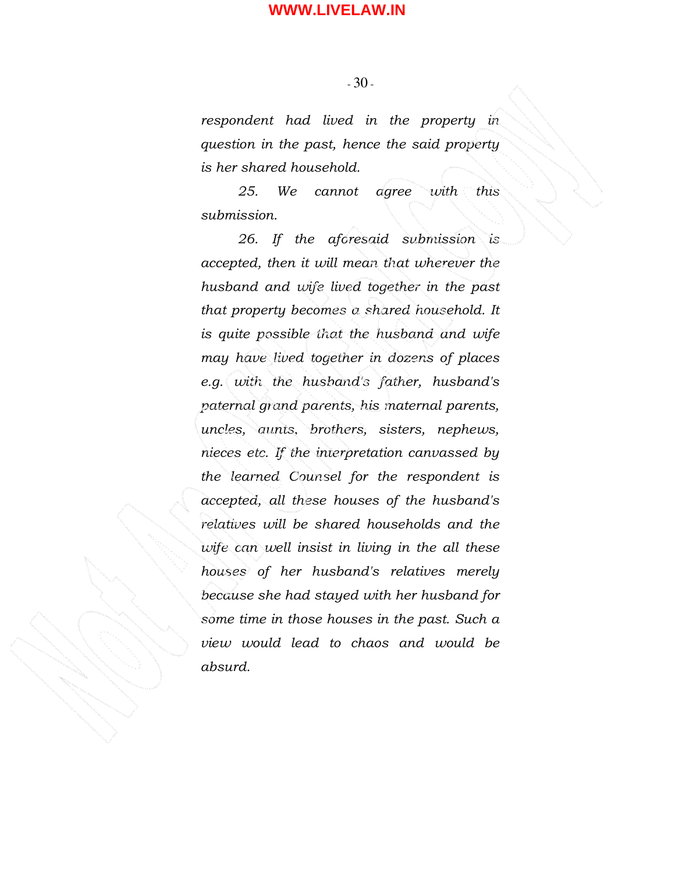- 30 -

respondent had lived in the property in question in the past, hence the said property is her shared household.

25. We cannot agree with this submission.

26. If the aforesaid submission is accepted, then it will mean that wherever the husband and wife lived together in the past that property becomes a shared household. It is quite possible that the husband and wife may have lived together in dozens of places e.g. with the husband's father, husband's paternal grand parents, his maternal parents, uncles, aunts, brothers, sisters, nephews, nieces etc. If the interpretation canvassed by the learned Counsel for the respondent is accepted, all these houses of the husband's relatives will be shared households and the wife can well insist in living in the all these houses of her husband's relatives merely because she had stayed with her husband for some time in those houses in the past. Such a view would lead to chaos and would be absurd.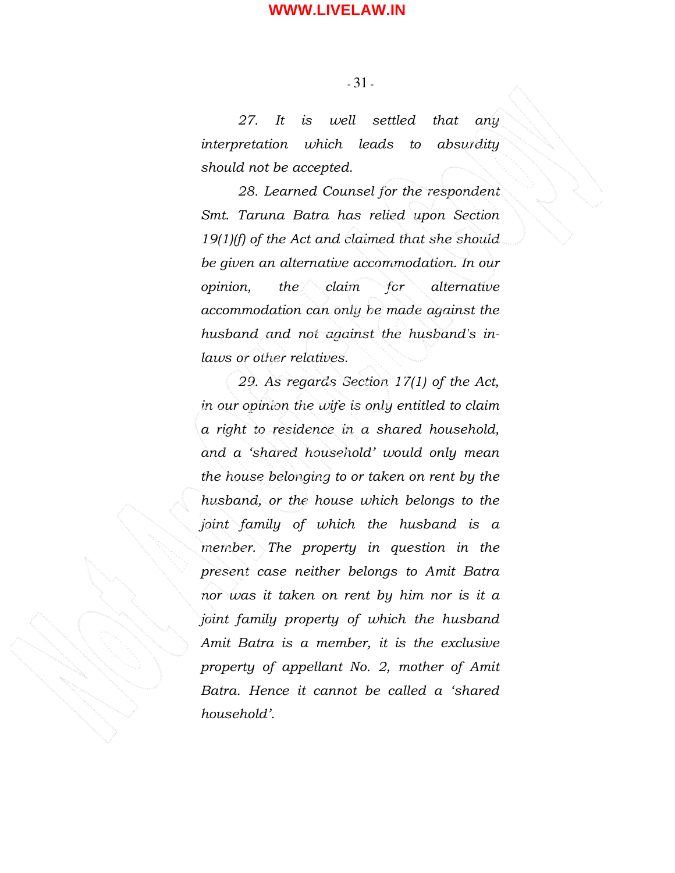- 31 -

27. It is well settled that any interpretation which leads to absurdity should not be accepted.

28. Learned Counsel for the respondent Smt. Taruna Batra has relied upon Section 19(1)(f) of the Act and claimed that she should be given an alternative accommodation. In our opinion, the claim for alternative accommodation can only be made against the husband and not against the husband's inlaws or other relatives.

29. As regards Section 17(1) of the Act, in our opinion the wife is only entitled to claim a right to residence in a shared household, and a 'shared household' would only mean the house belonging to or taken on rent by the husband, or the house which belongs to the joint family of which the husband is a member. The property in question in the present case neither belongs to Amit Batra nor was it taken on rent by him nor is it a joint family property of which the husband Amit Batra is a member, it is the exclusive property of appellant No. 2, mother of Amit Batra. Hence it cannot be called a 'shared household'.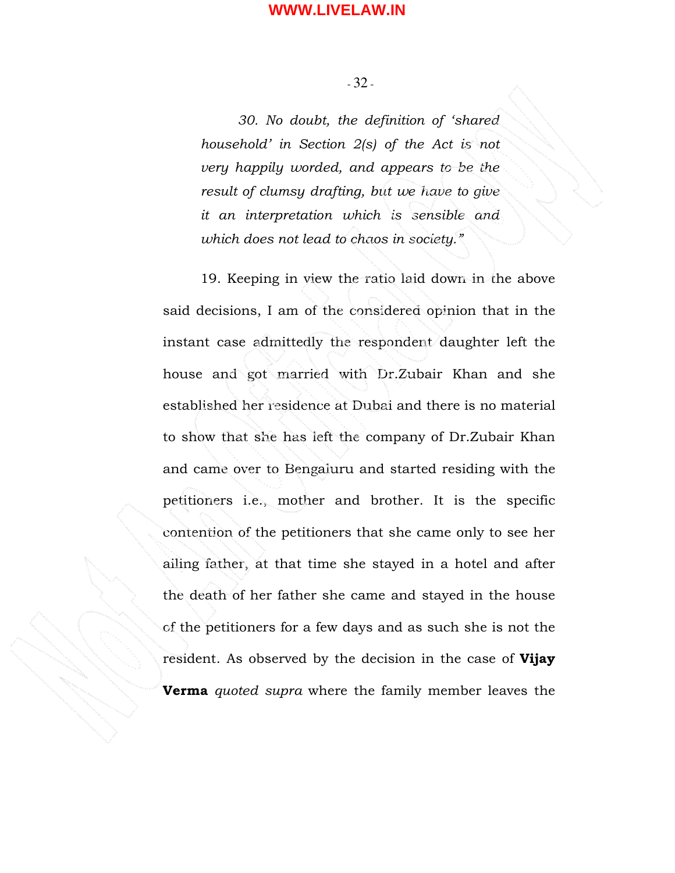- 32 -

30. No doubt, the definition of 'shared household' in Section 2(s) of the Act is not very happily worded, and appears to be the result of clumsy drafting, but we have to give it an interpretation which is sensible and which does not lead to chaos in society."

 19. Keeping in view the ratio laid down in the above said decisions, I am of the considered opinion that in the instant case admittedly the respondent daughter left the house and got married with Dr.Zubair Khan and she established her residence at Dubai and there is no material to show that she has left the company of Dr.Zubair Khan and came over to Bengaluru and started residing with the petitioners i.e., mother and brother. It is the specific contention of the petitioners that she came only to see her ailing father, at that time she stayed in a hotel and after the death of her father she came and stayed in the house of the petitioners for a few days and as such she is not the resident. As observed by the decision in the case of Vijay **Verma** quoted supra where the family member leaves the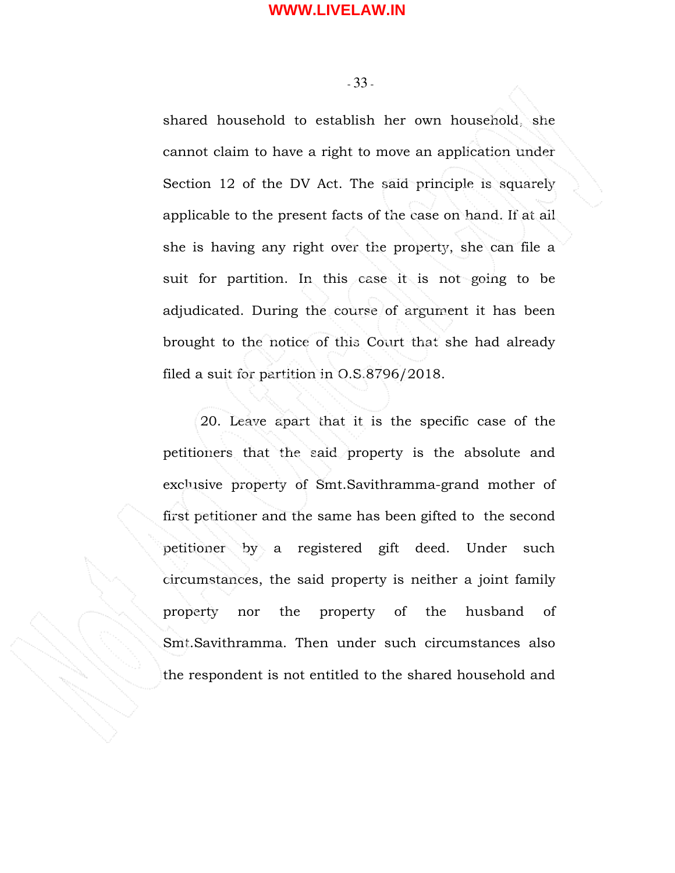- 33 -

shared household to establish her own household, she cannot claim to have a right to move an application under Section 12 of the DV Act. The said principle is squarely applicable to the present facts of the case on hand. If at all she is having any right over the property, she can file a suit for partition. In this case it is not going to be adjudicated. During the course of argument it has been brought to the notice of this Court that she had already filed a suit for partition in O.S.8796/2018.

20. Leave apart that it is the specific case of the petitioners that the said property is the absolute and exclusive property of Smt.Savithramma-grand mother of first petitioner and the same has been gifted to the second petitioner by a registered gift deed. Under such circumstances, the said property is neither a joint family property nor the property of the husband of Smt.Savithramma. Then under such circumstances also the respondent is not entitled to the shared household and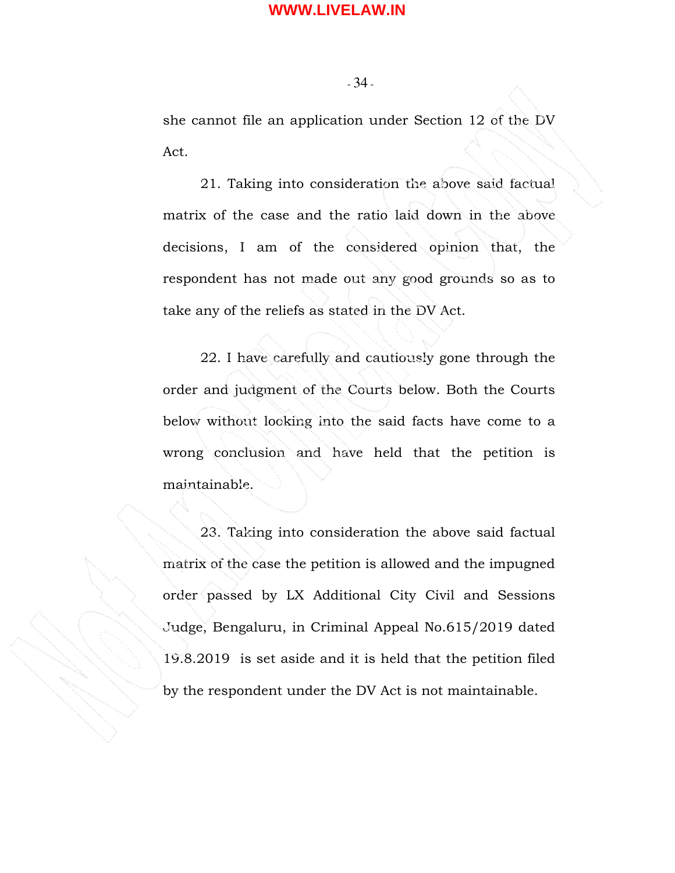- 34 -

she cannot file an application under Section 12 of the DV Act.

21. Taking into consideration the above said factual matrix of the case and the ratio laid down in the above decisions, I am of the considered opinion that, the respondent has not made out any good grounds so as to take any of the reliefs as stated in the DV Act.

 22. I have carefully and cautiously gone through the order and judgment of the Courts below. Both the Courts below without looking into the said facts have come to a wrong conclusion and have held that the petition is maintainable.

 23. Taking into consideration the above said factual matrix of the case the petition is allowed and the impugned order passed by LX Additional City Civil and Sessions Judge, Bengaluru, in Criminal Appeal No.615/2019 dated 19.8.2019 is set aside and it is held that the petition filed by the respondent under the DV Act is not maintainable.